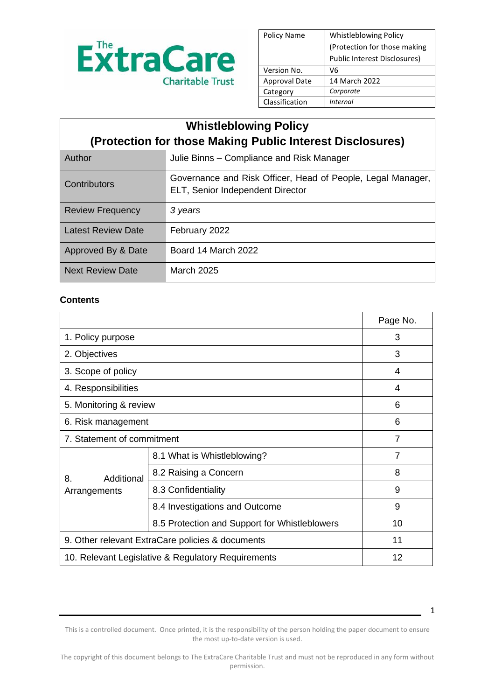

| <b>Policy Name</b>   | <b>Whistleblowing Policy</b> |
|----------------------|------------------------------|
|                      | (Protection for those making |
|                      | Public Interest Disclosures) |
| Version No.          | V6                           |
| <b>Approval Date</b> | 14 March 2022                |
| Category             | Corporate                    |
| Classification       | Internal                     |

| <b>Whistleblowing Policy</b>                              |                                                                                                 |  |
|-----------------------------------------------------------|-------------------------------------------------------------------------------------------------|--|
| (Protection for those Making Public Interest Disclosures) |                                                                                                 |  |
| Author                                                    | Julie Binns – Compliance and Risk Manager                                                       |  |
| Contributors                                              | Governance and Risk Officer, Head of People, Legal Manager,<br>ELT, Senior Independent Director |  |
| <b>Review Frequency</b>                                   | 3 years                                                                                         |  |
| <b>Latest Review Date</b>                                 | February 2022                                                                                   |  |
| Approved By & Date                                        | Board 14 March 2022                                                                             |  |
| <b>Next Review Date</b>                                   | March 2025                                                                                      |  |

### **Contents**

|                                                    |                                               | Page No.       |
|----------------------------------------------------|-----------------------------------------------|----------------|
| 1. Policy purpose                                  |                                               | 3              |
| 2. Objectives                                      |                                               | 3              |
| 3. Scope of policy                                 |                                               | 4              |
| 4. Responsibilities                                |                                               | 4              |
| 5. Monitoring & review                             |                                               | 6              |
| 6. Risk management                                 |                                               | 6              |
| 7. Statement of commitment                         |                                               | $\overline{7}$ |
| Additional<br>8.<br>Arrangements                   | 8.1 What is Whistleblowing?                   | 7              |
|                                                    | 8.2 Raising a Concern                         | 8              |
|                                                    | 8.3 Confidentiality                           | 9              |
|                                                    | 8.4 Investigations and Outcome                | 9              |
|                                                    | 8.5 Protection and Support for Whistleblowers | 10             |
| 9. Other relevant ExtraCare policies & documents   | 11                                            |                |
| 10. Relevant Legislative & Regulatory Requirements | 12                                            |                |

This is a controlled document. Once printed, it is the responsibility of the person holding the paper document to ensure the most up-to-date version is used.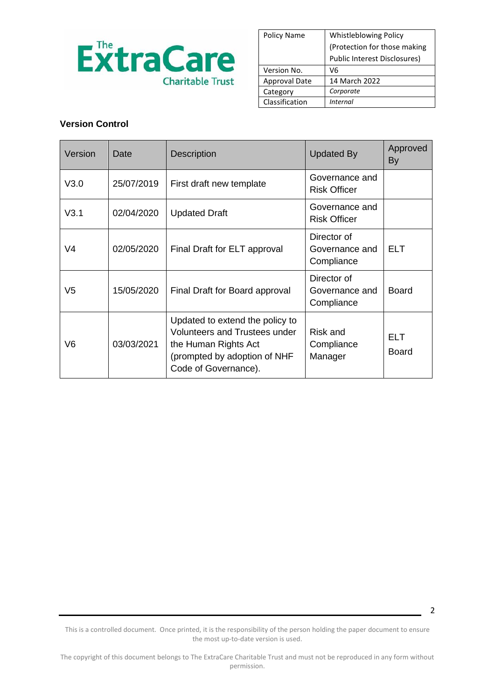

| <b>Policy Name</b>   | <b>Whistleblowing Policy</b> |
|----------------------|------------------------------|
|                      | (Protection for those making |
|                      | Public Interest Disclosures) |
| Version No.          | V6                           |
| <b>Approval Date</b> | 14 March 2022                |
| Category             | Corporate                    |
| Classification       | <i>Internal</i>              |

### **Version Control**

| Version | Date       | <b>Description</b>                                                                                                                                      | <b>Updated By</b>                           | Approved<br>By             |
|---------|------------|---------------------------------------------------------------------------------------------------------------------------------------------------------|---------------------------------------------|----------------------------|
| V3.0    | 25/07/2019 | First draft new template                                                                                                                                | Governance and<br><b>Risk Officer</b>       |                            |
| V3.1    | 02/04/2020 | <b>Updated Draft</b>                                                                                                                                    | Governance and<br><b>Risk Officer</b>       |                            |
| V4      | 02/05/2020 | Final Draft for ELT approval                                                                                                                            | Director of<br>Governance and<br>Compliance | <b>ELT</b>                 |
| V5      | 15/05/2020 | Final Draft for Board approval                                                                                                                          | Director of<br>Governance and<br>Compliance | <b>Board</b>               |
| V6      | 03/03/2021 | Updated to extend the policy to<br><b>Volunteers and Trustees under</b><br>the Human Rights Act<br>(prompted by adoption of NHF<br>Code of Governance). | Risk and<br>Compliance<br>Manager           | <b>ELT</b><br><b>Board</b> |

This is a controlled document. Once printed, it is the responsibility of the person holding the paper document to ensure the most up-to-date version is used.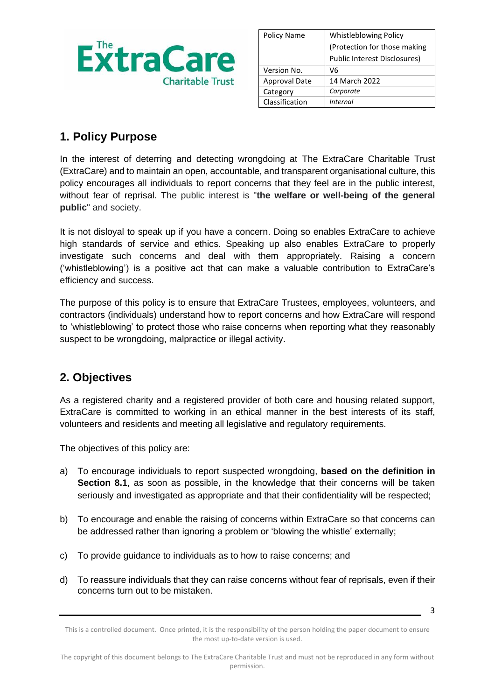

| Policy Name          | <b>Whistleblowing Policy</b>        |
|----------------------|-------------------------------------|
|                      | (Protection for those making        |
|                      | <b>Public Interest Disclosures)</b> |
| Version No.          | V6                                  |
| <b>Approval Date</b> | 14 March 2022                       |
| Category             | Corporate                           |
| Classification       | <i>Internal</i>                     |

## **1. Policy Purpose**

In the interest of deterring and detecting wrongdoing at The ExtraCare Charitable Trust (ExtraCare) and to maintain an open, accountable, and transparent organisational culture, this policy encourages all individuals to report concerns that they feel are in the public interest, without fear of reprisal. The public interest is "**the welfare or well-being of the general public**" and society.

It is not disloyal to speak up if you have a concern. Doing so enables ExtraCare to achieve high standards of service and ethics. Speaking up also enables ExtraCare to properly investigate such concerns and deal with them appropriately. Raising a concern ('whistleblowing') is a positive act that can make a valuable contribution to ExtraCare's efficiency and success.

The purpose of this policy is to ensure that ExtraCare Trustees, employees, volunteers, and contractors (individuals) understand how to report concerns and how ExtraCare will respond to 'whistleblowing' to protect those who raise concerns when reporting what they reasonably suspect to be wrongdoing, malpractice or illegal activity.

## **2. Objectives**

As a registered charity and a registered provider of both care and housing related support, ExtraCare is committed to working in an ethical manner in the best interests of its staff, volunteers and residents and meeting all legislative and regulatory requirements.

The objectives of this policy are:

- a) To encourage individuals to report suspected wrongdoing, **based on the definition in Section 8.1**, as soon as possible, in the knowledge that their concerns will be taken seriously and investigated as appropriate and that their confidentiality will be respected;
- b) To encourage and enable the raising of concerns within ExtraCare so that concerns can be addressed rather than ignoring a problem or 'blowing the whistle' externally;
- c) To provide guidance to individuals as to how to raise concerns; and
- d) To reassure individuals that they can raise concerns without fear of reprisals, even if their concerns turn out to be mistaken.

This is a controlled document. Once printed, it is the responsibility of the person holding the paper document to ensure the most up-to-date version is used.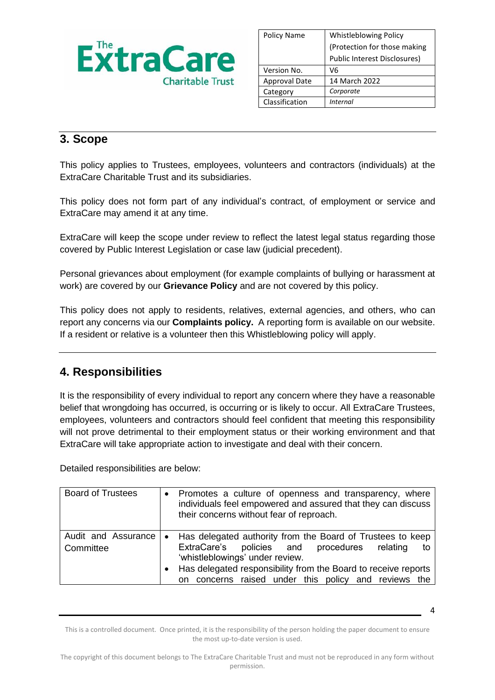

| <b>Policy Name</b>   | <b>Whistleblowing Policy</b> |
|----------------------|------------------------------|
|                      | (Protection for those making |
|                      | Public Interest Disclosures) |
| Version No.          | V6                           |
| <b>Approval Date</b> | 14 March 2022                |
| Category             | Corporate                    |
| Classification       | Internal                     |

## **3. Scope**

This policy applies to Trustees, employees, volunteers and contractors (individuals) at the ExtraCare Charitable Trust and its subsidiaries.

This policy does not form part of any individual's contract, of employment or service and ExtraCare may amend it at any time.

ExtraCare will keep the scope under review to reflect the latest legal status regarding those covered by Public Interest Legislation or case law (judicial precedent).

Personal grievances about employment (for example complaints of bullying or harassment at work) are covered by our **Grievance Policy** and are not covered by this policy.

This policy does not apply to residents, relatives, external agencies, and others, who can report any concerns via our **Complaints policy.** A reporting form is available on our website. If a resident or relative is a volunteer then this Whistleblowing policy will apply.

## **4. Responsibilities**

It is the responsibility of every individual to report any concern where they have a reasonable belief that wrongdoing has occurred, is occurring or is likely to occur. All ExtraCare Trustees, employees, volunteers and contractors should feel confident that meeting this responsibility will not prove detrimental to their employment status or their working environment and that ExtraCare will take appropriate action to investigate and deal with their concern.

Detailed responsibilities are below:

| <b>Board of Trustees</b>         |                        | • Promotes a culture of openness and transparency, where<br>individuals feel empowered and assured that they can discuss<br>their concerns without fear of reproach.                                                                                                             |
|----------------------------------|------------------------|----------------------------------------------------------------------------------------------------------------------------------------------------------------------------------------------------------------------------------------------------------------------------------|
| Audit and Assurance<br>Committee | $\bullet$<br>$\bullet$ | Has delegated authority from the Board of Trustees to keep<br>ExtraCare's policies and procedures<br>relating<br>to<br>'whistleblowings' under review.<br>Has delegated responsibility from the Board to receive reports<br>on concerns raised under this policy and reviews the |

This is a controlled document. Once printed, it is the responsibility of the person holding the paper document to ensure the most up-to-date version is used.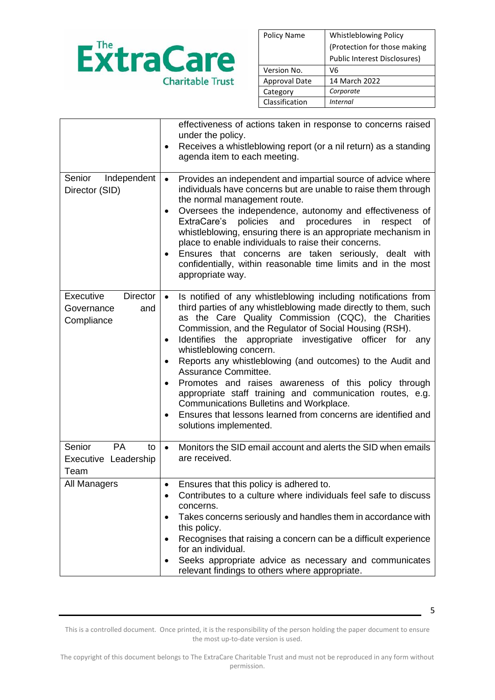

| <b>Policy Name</b>   | <b>Whistleblowing Policy</b> |
|----------------------|------------------------------|
|                      | (Protection for those making |
|                      | Public Interest Disclosures) |
| Version No.          | V6                           |
| <b>Approval Date</b> | 14 March 2022                |
| Category             | Corporate                    |
| Classification       | <i>Internal</i>              |

|                                                                 | effectiveness of actions taken in response to concerns raised<br>under the policy.<br>Receives a whistleblowing report (or a nil return) as a standing<br>agenda item to each meeting.                                                                                                                                                                                                                                                                                                                                                                                                                                                                                                                  |
|-----------------------------------------------------------------|---------------------------------------------------------------------------------------------------------------------------------------------------------------------------------------------------------------------------------------------------------------------------------------------------------------------------------------------------------------------------------------------------------------------------------------------------------------------------------------------------------------------------------------------------------------------------------------------------------------------------------------------------------------------------------------------------------|
| Independent<br>Senior<br>Director (SID)                         | Provides an independent and impartial source of advice where<br>$\bullet$<br>individuals have concerns but are unable to raise them through<br>the normal management route.<br>Oversees the independence, autonomy and effectiveness of<br>٠<br>ExtraCare's<br>policies<br>procedures<br>and<br>in<br>respect<br>οf<br>whistleblowing, ensuring there is an appropriate mechanism in<br>place to enable individuals to raise their concerns.<br>Ensures that concerns are taken seriously, dealt with<br>confidentially, within reasonable time limits and in the most<br>appropriate way.                                                                                                              |
| <b>Director</b><br>Executive<br>Governance<br>and<br>Compliance | Is notified of any whistleblowing including notifications from<br>third parties of any whistleblowing made directly to them, such<br>as the Care Quality Commission (CQC), the Charities<br>Commission, and the Regulator of Social Housing (RSH).<br>Identifies the appropriate investigative officer for any<br>whistleblowing concern.<br>Reports any whistleblowing (and outcomes) to the Audit and<br>$\bullet$<br>Assurance Committee.<br>Promotes and raises awareness of this policy through<br>appropriate staff training and communication routes, e.g.<br>Communications Bulletins and Workplace.<br>Ensures that lessons learned from concerns are identified and<br>solutions implemented. |
| Senior<br><b>PA</b><br>to<br>Executive Leadership<br>Team       | Monitors the SID email account and alerts the SID when emails<br>$\bullet$<br>are received.                                                                                                                                                                                                                                                                                                                                                                                                                                                                                                                                                                                                             |
| All Managers                                                    | Ensures that this policy is adhered to.<br>Contributes to a culture where individuals feel safe to discuss<br>concerns.<br>Takes concerns seriously and handles them in accordance with<br>٠<br>this policy.<br>Recognises that raising a concern can be a difficult experience<br>for an individual.<br>Seeks appropriate advice as necessary and communicates<br>relevant findings to others where appropriate.                                                                                                                                                                                                                                                                                       |

This is a controlled document. Once printed, it is the responsibility of the person holding the paper document to ensure the most up-to-date version is used.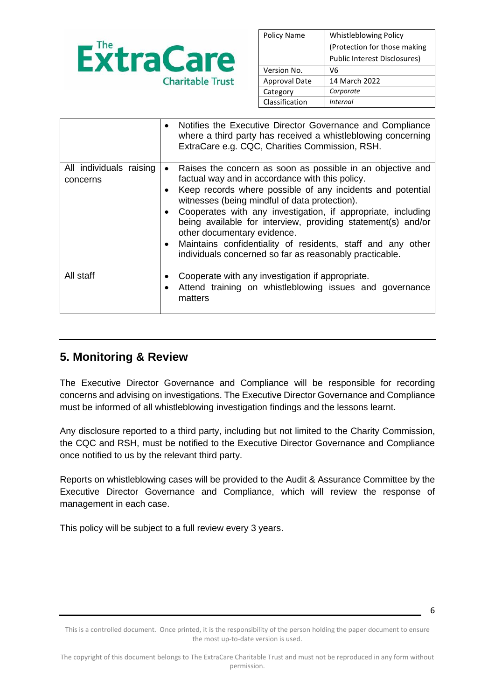

| <b>Policy Name</b>   | <b>Whistleblowing Policy</b>        |
|----------------------|-------------------------------------|
|                      | (Protection for those making        |
|                      | <b>Public Interest Disclosures)</b> |
| Version No.          | V6                                  |
| <b>Approval Date</b> | 14 March 2022                       |
| Category             | Corporate                           |
| Classification       | Internal                            |

|                                     | Notifies the Executive Director Governance and Compliance<br>٠<br>where a third party has received a whistleblowing concerning<br>ExtraCare e.g. CQC, Charities Commission, RSH.                                                                                                                                                                                                                                                                                                                                                                  |
|-------------------------------------|---------------------------------------------------------------------------------------------------------------------------------------------------------------------------------------------------------------------------------------------------------------------------------------------------------------------------------------------------------------------------------------------------------------------------------------------------------------------------------------------------------------------------------------------------|
| All individuals raising<br>concerns | Raises the concern as soon as possible in an objective and<br>$\bullet$<br>factual way and in accordance with this policy.<br>Keep records where possible of any incidents and potential<br>witnesses (being mindful of data protection).<br>Cooperates with any investigation, if appropriate, including<br>$\bullet$<br>being available for interview, providing statement(s) and/or<br>other documentary evidence.<br>• Maintains confidentiality of residents, staff and any other<br>individuals concerned so far as reasonably practicable. |
| All staff                           | Cooperate with any investigation if appropriate.<br>Attend training on whistleblowing issues and governance<br>matters                                                                                                                                                                                                                                                                                                                                                                                                                            |

## **5. Monitoring & Review**

The Executive Director Governance and Compliance will be responsible for recording concerns and advising on investigations. The Executive Director Governance and Compliance must be informed of all whistleblowing investigation findings and the lessons learnt.

Any disclosure reported to a third party, including but not limited to the Charity Commission, the CQC and RSH, must be notified to the Executive Director Governance and Compliance once notified to us by the relevant third party.

Reports on whistleblowing cases will be provided to the Audit & Assurance Committee by the Executive Director Governance and Compliance, which will review the response of management in each case.

This policy will be subject to a full review every 3 years.

This is a controlled document. Once printed, it is the responsibility of the person holding the paper document to ensure the most up-to-date version is used.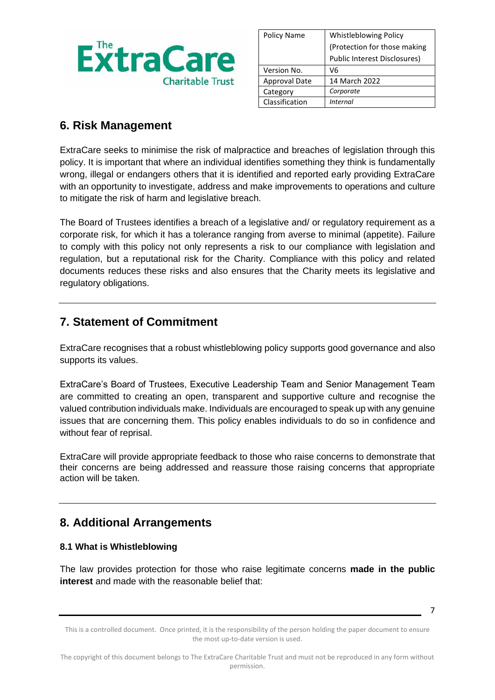

| Policy Name          | <b>Whistleblowing Policy</b> |  |
|----------------------|------------------------------|--|
|                      | (Protection for those making |  |
|                      | Public Interest Disclosures) |  |
| Version No.          | V6                           |  |
| <b>Approval Date</b> | 14 March 2022                |  |
| Category             | Corporate                    |  |
| Classification       | Internal                     |  |

## **6. Risk Management**

ExtraCare seeks to minimise the risk of malpractice and breaches of legislation through this policy. It is important that where an individual identifies something they think is fundamentally wrong, illegal or endangers others that it is identified and reported early providing ExtraCare with an opportunity to investigate, address and make improvements to operations and culture to mitigate the risk of harm and legislative breach.

The Board of Trustees identifies a breach of a legislative and/ or regulatory requirement as a corporate risk, for which it has a tolerance ranging from averse to minimal (appetite). Failure to comply with this policy not only represents a risk to our compliance with legislation and regulation, but a reputational risk for the Charity. Compliance with this policy and related documents reduces these risks and also ensures that the Charity meets its legislative and regulatory obligations.

## **7. Statement of Commitment**

ExtraCare recognises that a robust whistleblowing policy supports good governance and also supports its values.

ExtraCare's Board of Trustees, Executive Leadership Team and Senior Management Team are committed to creating an open, transparent and supportive culture and recognise the valued contribution individuals make. Individuals are encouraged to speak up with any genuine issues that are concerning them. This policy enables individuals to do so in confidence and without fear of reprisal.

ExtraCare will provide appropriate feedback to those who raise concerns to demonstrate that their concerns are being addressed and reassure those raising concerns that appropriate action will be taken.

## **8. Additional Arrangements**

### **8.1 What is Whistleblowing**

The law provides protection for those who raise legitimate concerns **made in the public interest** and made with the reasonable belief that:

This is a controlled document. Once printed, it is the responsibility of the person holding the paper document to ensure the most up-to-date version is used.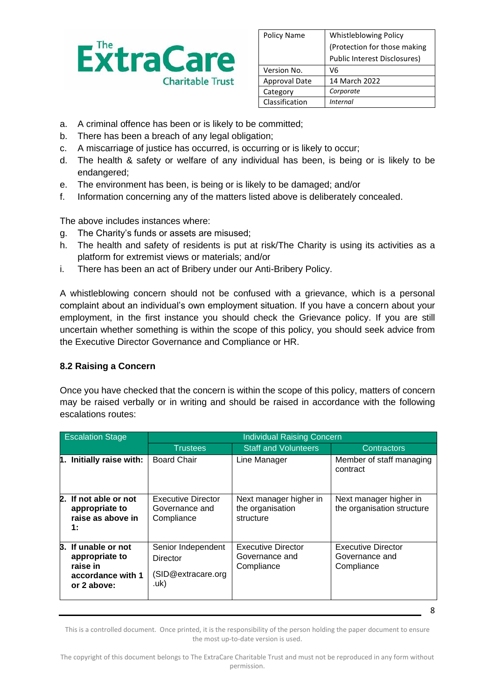

| <b>Policy Name</b>   | <b>Whistleblowing Policy</b>        |  |
|----------------------|-------------------------------------|--|
|                      | (Protection for those making        |  |
|                      | <b>Public Interest Disclosures)</b> |  |
| Version No.          | V6                                  |  |
| <b>Approval Date</b> | 14 March 2022                       |  |
| Category             | Corporate                           |  |
| Classification       | Internal                            |  |

- a. A criminal offence has been or is likely to be committed;
- b. There has been a breach of any legal obligation;
- c. A miscarriage of justice has occurred, is occurring or is likely to occur;
- d. The health & safety or welfare of any individual has been, is being or is likely to be endangered;
- e. The environment has been, is being or is likely to be damaged; and/or
- f. Information concerning any of the matters listed above is deliberately concealed.

The above includes instances where:

- g. The Charity's funds or assets are misused;
- h. The health and safety of residents is put at risk/The Charity is using its activities as a platform for extremist views or materials; and/or
- i. There has been an act of Bribery under our Anti-Bribery Policy.

A whistleblowing concern should not be confused with a grievance, which is a personal complaint about an individual's own employment situation. If you have a concern about your employment, in the first instance you should check the Grievance policy. If you are still uncertain whether something is within the scope of this policy, you should seek advice from the Executive Director Governance and Compliance or HR.

### **8.2 Raising a Concern**

Once you have checked that the concern is within the scope of this policy, matters of concern may be raised verbally or in writing and should be raised in accordance with the following escalations routes:

| <b>Escalation Stage</b> |                                                                                    | <b>Individual Raising Concern</b>                             |                                                           |                                                           |
|-------------------------|------------------------------------------------------------------------------------|---------------------------------------------------------------|-----------------------------------------------------------|-----------------------------------------------------------|
|                         |                                                                                    | <b>Trustees</b>                                               | <b>Staff and Volunteers</b>                               | <b>Contractors</b>                                        |
| 1.                      | Initially raise with:                                                              | <b>Board Chair</b>                                            | Line Manager                                              | Member of staff managing<br>contract                      |
|                         | 2. If not able or not<br>appropriate to<br>raise as above in<br>1:                 | Executive Director<br>Governance and<br>Compliance            | Next manager higher in<br>the organisation<br>structure   | Next manager higher in<br>the organisation structure      |
| В.                      | If unable or not<br>appropriate to<br>raise in<br>accordance with 1<br>or 2 above: | Senior Independent<br>Director<br>(SID@extracare.org)<br>.uk) | <b>Executive Director</b><br>Governance and<br>Compliance | <b>Executive Director</b><br>Governance and<br>Compliance |

This is a controlled document. Once printed, it is the responsibility of the person holding the paper document to ensure the most up-to-date version is used.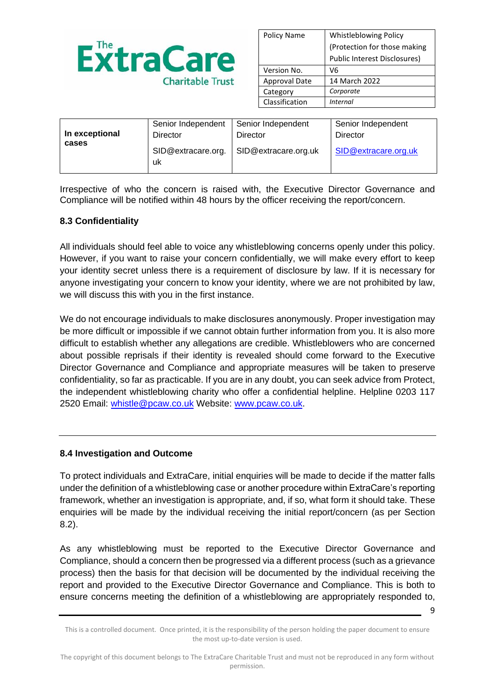

| <b>Whistleblowing Policy</b>        |  |
|-------------------------------------|--|
| (Protection for those making        |  |
| <b>Public Interest Disclosures)</b> |  |
| V6                                  |  |
| 14 March 2022                       |  |
| Corporate                           |  |
| Internal                            |  |
|                                     |  |

| In exceptional | Senior Independent       | Senior Independent   | Senior Independent   |
|----------------|--------------------------|----------------------|----------------------|
|                | Director                 | Director             | Director             |
| cases          | SID@extracare.org.<br>uk | SID@extracare.org.uk | SID@extracare.org.uk |

Irrespective of who the concern is raised with, the Executive Director Governance and Compliance will be notified within 48 hours by the officer receiving the report/concern.

### **8.3 Confidentiality**

All individuals should feel able to voice any whistleblowing concerns openly under this policy. However, if you want to raise your concern confidentially, we will make every effort to keep your identity secret unless there is a requirement of disclosure by law. If it is necessary for anyone investigating your concern to know your identity, where we are not prohibited by law, we will discuss this with you in the first instance.

We do not encourage individuals to make disclosures anonymously. Proper investigation may be more difficult or impossible if we cannot obtain further information from you. It is also more difficult to establish whether any allegations are credible. Whistleblowers who are concerned about possible reprisals if their identity is revealed should come forward to the Executive Director Governance and Compliance and appropriate measures will be taken to preserve confidentiality, so far as practicable. If you are in any doubt, you can seek advice from Protect, the independent whistleblowing charity who offer a confidential helpline. Helpline 0203 117 2520 Email: [whistle@pcaw.co.uk](mailto:whistle@pcaw.co.uk) Website: [www.pcaw.co.uk.](http://www.pcaw.co.uk/)

### **8.4 Investigation and Outcome**

To protect individuals and ExtraCare, initial enquiries will be made to decide if the matter falls under the definition of a whistleblowing case or another procedure within ExtraCare's reporting framework, whether an investigation is appropriate, and, if so, what form it should take. These enquiries will be made by the individual receiving the initial report/concern (as per Section 8.2).

As any whistleblowing must be reported to the Executive Director Governance and Compliance, should a concern then be progressed via a different process (such as a grievance process) then the basis for that decision will be documented by the individual receiving the report and provided to the Executive Director Governance and Compliance. This is both to ensure concerns meeting the definition of a whistleblowing are appropriately responded to,

This is a controlled document. Once printed, it is the responsibility of the person holding the paper document to ensure the most up-to-date version is used.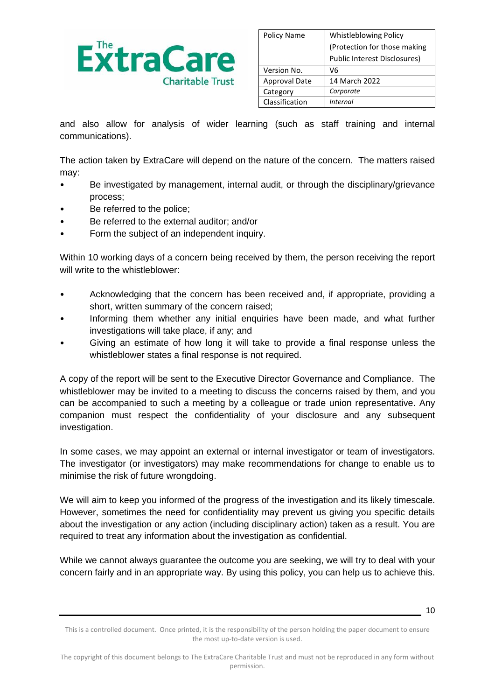

| <b>Policy Name</b>   | <b>Whistleblowing Policy</b>        |  |
|----------------------|-------------------------------------|--|
|                      | (Protection for those making        |  |
|                      | <b>Public Interest Disclosures)</b> |  |
| Version No.          | V6                                  |  |
| <b>Approval Date</b> | 14 March 2022                       |  |
| Category             | Corporate                           |  |
| Classification       | <i>Internal</i>                     |  |

and also allow for analysis of wider learning (such as staff training and internal communications).

The action taken by ExtraCare will depend on the nature of the concern. The matters raised may:

- Be investigated by management, internal audit, or through the disciplinary/grievance process;
- Be referred to the police;
- Be referred to the external auditor; and/or
- Form the subject of an independent inquiry.

Within 10 working days of a concern being received by them, the person receiving the report will write to the whistleblower:

- Acknowledging that the concern has been received and, if appropriate, providing a short, written summary of the concern raised;
- Informing them whether any initial enquiries have been made, and what further investigations will take place, if any; and
- Giving an estimate of how long it will take to provide a final response unless the whistleblower states a final response is not required.

A copy of the report will be sent to the Executive Director Governance and Compliance. The whistleblower may be invited to a meeting to discuss the concerns raised by them, and you can be accompanied to such a meeting by a colleague or trade union representative. Any companion must respect the confidentiality of your disclosure and any subsequent investigation.

In some cases, we may appoint an external or internal investigator or team of investigators. The investigator (or investigators) may make recommendations for change to enable us to minimise the risk of future wrongdoing.

We will aim to keep you informed of the progress of the investigation and its likely timescale. However, sometimes the need for confidentiality may prevent us giving you specific details about the investigation or any action (including disciplinary action) taken as a result. You are required to treat any information about the investigation as confidential.

While we cannot always guarantee the outcome you are seeking, we will try to deal with your concern fairly and in an appropriate way. By using this policy, you can help us to achieve this.

This is a controlled document. Once printed, it is the responsibility of the person holding the paper document to ensure the most up-to-date version is used.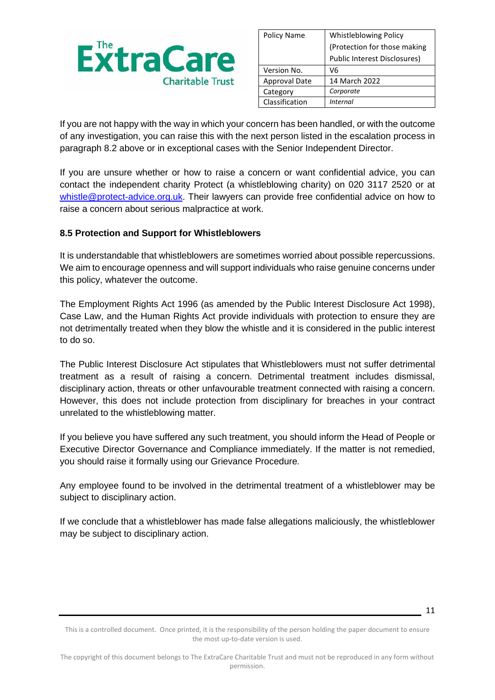

| <b>Policy Name</b>   | <b>Whistleblowing Policy</b> |  |
|----------------------|------------------------------|--|
|                      | (Protection for those making |  |
|                      | Public Interest Disclosures) |  |
| Version No.          | V6                           |  |
| <b>Approval Date</b> | 14 March 2022                |  |
| Category             | Corporate                    |  |
| Classification       | Internal                     |  |

If you are not happy with the way in which your concern has been handled, or with the outcome of any investigation, you can raise this with the next person listed in the escalation process in paragraph 8.2 above or in exceptional cases with the Senior Independent Director.

If you are unsure whether or how to raise a concern or want confidential advice, you can contact the independent charity Protect (a whistleblowing charity) on 020 3117 2520 or at [whistle@protect-advice.org.uk.](mailto:whistle@protect-advice.org.uk) Their lawyers can provide free confidential advice on how to raise a concern about serious malpractice at work.

### **8.5 Protection and Support for Whistleblowers**

It is understandable that whistleblowers are sometimes worried about possible repercussions. We aim to encourage openness and will support individuals who raise genuine concerns under this policy, whatever the outcome.

The Employment Rights Act 1996 (as amended by the Public Interest Disclosure Act 1998), Case Law, and the Human Rights Act provide individuals with protection to ensure they are not detrimentally treated when they blow the whistle and it is considered in the public interest to do so.

The Public Interest Disclosure Act stipulates that Whistleblowers must not suffer detrimental treatment as a result of raising a concern. Detrimental treatment includes dismissal, disciplinary action, threats or other unfavourable treatment connected with raising a concern. However, this does not include protection from disciplinary for breaches in your contract unrelated to the whistleblowing matter.

If you believe you have suffered any such treatment, you should inform the Head of People or Executive Director Governance and Compliance immediately. If the matter is not remedied, you should raise it formally using our Grievance Procedure.

Any employee found to be involved in the detrimental treatment of a whistleblower may be subject to disciplinary action.

If we conclude that a whistleblower has made false allegations maliciously, the whistleblower may be subject to disciplinary action.

<sup>11</sup>

This is a controlled document. Once printed, it is the responsibility of the person holding the paper document to ensure the most up-to-date version is used.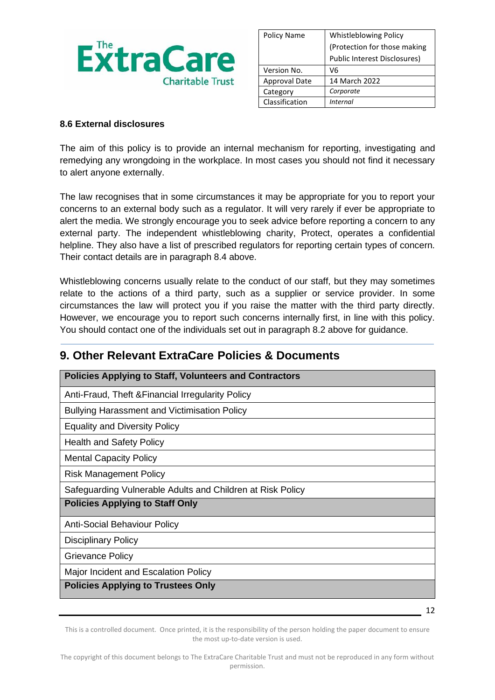

| Policy Name          | <b>Whistleblowing Policy</b> |  |
|----------------------|------------------------------|--|
|                      | (Protection for those making |  |
|                      | Public Interest Disclosures) |  |
| Version No.          | V6                           |  |
| <b>Approval Date</b> | 14 March 2022                |  |
| Category             | Corporate                    |  |
| Classification       | Internal                     |  |

### **8.6 External disclosures**

The aim of this policy is to provide an internal mechanism for reporting, investigating and remedying any wrongdoing in the workplace. In most cases you should not find it necessary to alert anyone externally.

The law recognises that in some circumstances it may be appropriate for you to report your concerns to an external body such as a regulator. It will very rarely if ever be appropriate to alert the media. We strongly encourage you to seek advice before reporting a concern to any external party. The independent whistleblowing charity, Protect, operates a confidential helpline. They also have a list of prescribed regulators for reporting certain types of concern. Their contact details are in paragraph 8.4 above.

Whistleblowing concerns usually relate to the conduct of our staff, but they may sometimes relate to the actions of a third party, such as a supplier or service provider. In some circumstances the law will protect you if you raise the matter with the third party directly. However, we encourage you to report such concerns internally first, in line with this policy. You should contact one of the individuals set out in paragraph 8.2 above for guidance.

## **9. Other Relevant ExtraCare Policies & Documents**

| <b>Policies Applying to Staff, Volunteers and Contractors</b> |  |  |
|---------------------------------------------------------------|--|--|
| Anti-Fraud, Theft & Financial Irregularity Policy             |  |  |
| <b>Bullying Harassment and Victimisation Policy</b>           |  |  |
| <b>Equality and Diversity Policy</b>                          |  |  |
| <b>Health and Safety Policy</b>                               |  |  |
| <b>Mental Capacity Policy</b>                                 |  |  |
| <b>Risk Management Policy</b>                                 |  |  |
| Safeguarding Vulnerable Adults and Children at Risk Policy    |  |  |
| <b>Policies Applying to Staff Only</b>                        |  |  |
| <b>Anti-Social Behaviour Policy</b>                           |  |  |
| <b>Disciplinary Policy</b>                                    |  |  |
| Grievance Policy                                              |  |  |
| Major Incident and Escalation Policy                          |  |  |
| <b>Policies Applying to Trustees Only</b>                     |  |  |

This is a controlled document. Once printed, it is the responsibility of the person holding the paper document to ensure the most up-to-date version is used.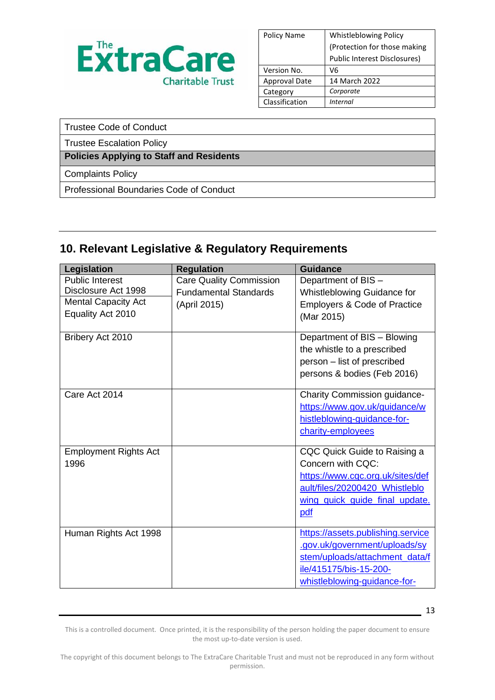

| <b>Policy Name</b>   | <b>Whistleblowing Policy</b> |  |
|----------------------|------------------------------|--|
|                      | (Protection for those making |  |
|                      | Public Interest Disclosures) |  |
| Version No.          | V6                           |  |
| <b>Approval Date</b> | 14 March 2022                |  |
| Category             | Corporate                    |  |
| Classification       | <i>Internal</i>              |  |

| Trustee Code of Conduct |
|-------------------------|
|-------------------------|

Trustee Escalation Policy

### **Policies Applying to Staff and Residents**

Complaints Policy

Professional Boundaries Code of Conduct

# **10. Relevant Legislative & Regulatory Requirements**

| Legislation                  | <b>Regulation</b>              | <b>Guidance</b>                   |
|------------------------------|--------------------------------|-----------------------------------|
| <b>Public Interest</b>       | <b>Care Quality Commission</b> | Department of BIS -               |
| Disclosure Act 1998          | <b>Fundamental Standards</b>   | Whistleblowing Guidance for       |
| <b>Mental Capacity Act</b>   | (April 2015)                   | Employers & Code of Practice      |
| Equality Act 2010            |                                | (Mar 2015)                        |
| Bribery Act 2010             |                                | Department of BIS - Blowing       |
|                              |                                | the whistle to a prescribed       |
|                              |                                | person - list of prescribed       |
|                              |                                | persons & bodies (Feb 2016)       |
| Care Act 2014                |                                | Charity Commission guidance-      |
|                              |                                | https://www.gov.uk/guidance/w     |
|                              |                                | histleblowing-guidance-for-       |
|                              |                                | charity-employees                 |
| <b>Employment Rights Act</b> |                                | CQC Quick Guide to Raising a      |
| 1996                         |                                | Concern with CQC:                 |
|                              |                                | https://www.cqc.org.uk/sites/def  |
|                              |                                | ault/files/20200420 Whistleblo    |
|                              |                                | wing quick guide final update.    |
|                              |                                | pdf                               |
| Human Rights Act 1998        |                                | https://assets.publishing.service |
|                              |                                | .gov.uk/government/uploads/sy     |
|                              |                                | stem/uploads/attachment_data/f    |
|                              |                                | ile/415175/bis-15-200-            |
|                              |                                | whistleblowing-quidance-for-      |

This is a controlled document. Once printed, it is the responsibility of the person holding the paper document to ensure the most up-to-date version is used.